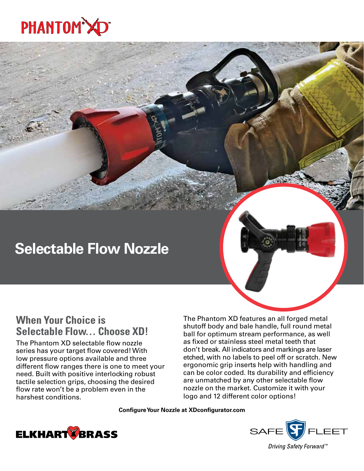

# **Selectable Flow Nozzle**

## **When Your Choice is Selectable Flow… Choose XD!**

The Phantom XD selectable flow nozzle series has your target flow covered! With low pressure options available and three different flow ranges there is one to meet your need. Built with positive interlocking robust tactile selection grips, choosing the desired flow rate won't be a problem even in the harshest conditions.

The Phantom XD features an all forged metal shutoff body and bale handle, full round metal ball for optimum stream performance, as well as fixed or stainless steel metal teeth that don't break. All indicators and markings are laser etched, with no labels to peel off or scratch. New ergonomic grip inserts help with handling and can be color coded. Its durability and efficiency are unmatched by any other selectable flow nozzle on the market. Customize it with your logo and 12 different color options!

**Configure Your Nozzle at XDconfigurator.com**